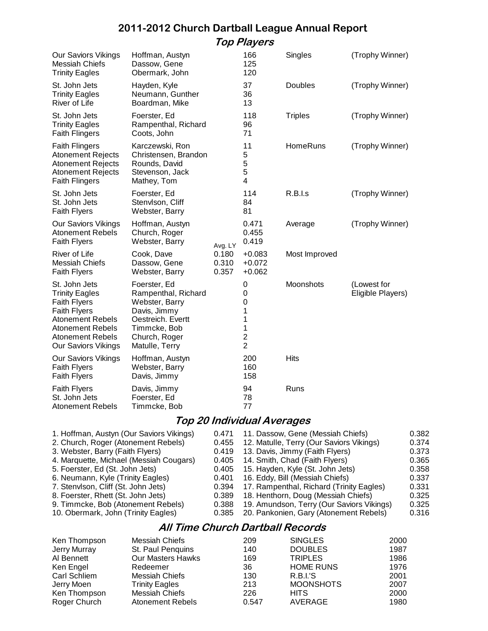## **2011-2012 Church Dartball League Annual Report Top Players**

| <b>Our Saviors Vikings</b><br><b>Messiah Chiefs</b><br><b>Trinity Eagles</b>                                                                                                                        | Hoffman, Austyn<br>Dassow, Gene<br>Obermark, John                                                                                             |                         | 166<br>125<br>120                                                        | Singles        | (Trophy Winner)                  |
|-----------------------------------------------------------------------------------------------------------------------------------------------------------------------------------------------------|-----------------------------------------------------------------------------------------------------------------------------------------------|-------------------------|--------------------------------------------------------------------------|----------------|----------------------------------|
| St. John Jets<br><b>Trinity Eagles</b><br>River of Life                                                                                                                                             | Hayden, Kyle<br>Neumann, Gunther<br>Boardman, Mike                                                                                            |                         | 37<br>36<br>13                                                           | <b>Doubles</b> | (Trophy Winner)                  |
| St. John Jets<br><b>Trinity Eagles</b><br><b>Faith Flingers</b>                                                                                                                                     | Foerster, Ed<br>Rampenthal, Richard<br>Coots, John                                                                                            |                         | 118<br>96<br>71                                                          | <b>Triples</b> | (Trophy Winner)                  |
| <b>Faith Flingers</b><br><b>Atonement Rejects</b><br><b>Atonement Rejects</b><br><b>Atonement Rejects</b><br><b>Faith Flingers</b>                                                                  | Karczewski, Ron<br>Christensen, Brandon<br>Rounds, David<br>Stevenson, Jack<br>Mathey, Tom                                                    |                         | 11<br>5<br>5<br>5<br>4                                                   | HomeRuns       | (Trophy Winner)                  |
| St. John Jets<br>St. John Jets<br><b>Faith Flyers</b>                                                                                                                                               | Foerster, Ed<br>Stenvlson, Cliff<br>Webster, Barry                                                                                            |                         | 114<br>84<br>81                                                          | R.B.I.s        | (Trophy Winner)                  |
| <b>Our Saviors Vikings</b><br><b>Atonement Rebels</b><br><b>Faith Flyers</b>                                                                                                                        | Hoffman, Austyn<br>Church, Roger<br>Webster, Barry                                                                                            | Avg. LY                 | 0.471<br>0.455<br>0.419                                                  | Average        | (Trophy Winner)                  |
| River of Life<br><b>Messiah Chiefs</b><br>Faith Flyers                                                                                                                                              | Cook, Dave<br>Dassow, Gene<br>Webster, Barry                                                                                                  | 0.180<br>0.310<br>0.357 | $+0.083$<br>$+0.072$<br>$+0.062$                                         | Most Improved  |                                  |
| St. John Jets<br><b>Trinity Eagles</b><br><b>Faith Flyers</b><br><b>Faith Flyers</b><br><b>Atonement Rebels</b><br><b>Atonement Rebels</b><br><b>Atonement Rebels</b><br><b>Our Saviors Vikings</b> | Foerster, Ed<br>Rampenthal, Richard<br>Webster, Barry<br>Davis, Jimmy<br>Oestreich. Evertt<br>Timmcke, Bob<br>Church, Roger<br>Matulle, Terry |                         | $\mathbf 0$<br>0<br>0<br>1<br>1<br>1<br>$\overline{c}$<br>$\overline{c}$ | Moonshots      | (Lowest for<br>Eligible Players) |
| <b>Our Saviors Vikings</b><br><b>Faith Flyers</b><br>Faith Flyers                                                                                                                                   | Hoffman, Austyn<br>Webster, Barry<br>Davis, Jimmy                                                                                             |                         | 200<br>160<br>158                                                        | <b>Hits</b>    |                                  |
| <b>Faith Flyers</b><br>St. John Jets<br><b>Atonement Rebels</b>                                                                                                                                     | Davis, Jimmy<br>Foerster, Ed<br>Timmcke, Bob                                                                                                  |                         | 94<br>78<br>77                                                           | Runs           |                                  |

### **Top 20 Individual Averages**

| 1. Hoffman, Austyn (Our Saviors Vikings) | 0.471 11. Dassow, Gene (Messiah Chiefs)         | 0.382 |
|------------------------------------------|-------------------------------------------------|-------|
| 2. Church, Roger (Atonement Rebels)      | 0.455 12. Matulle, Terry (Our Saviors Vikings)  | 0.374 |
| 3. Webster, Barry (Faith Flyers)         | 0.419 13. Davis, Jimmy (Faith Flyers)           | 0.373 |
| 4. Marquette, Michael (Messiah Cougars)  | 0.405 14. Smith, Chad (Faith Flyers)            | 0.365 |
| 5. Foerster, Ed (St. John Jets)          | 0.405 15. Hayden, Kyle (St. John Jets)          | 0.358 |
| 6. Neumann, Kyle (Trinity Eagles)        | 0.401 16. Eddy, Bill (Messiah Chiefs)           | 0.337 |
| 7. Stenvison, Cliff (St. John Jets)      | 0.394 17. Rampenthal, Richard (Trinity Eagles)  | 0.331 |
| 8. Foerster, Rhett (St. John Jets)       | 0.389 18. Henthorn, Doug (Messiah Chiefs)       | 0.325 |
| 9. Timmcke, Bob (Atonement Rebels)       | 0.388 19. Amundson, Terry (Our Saviors Vikings) | 0.325 |
| 10. Obermark, John (Trinity Eagles)      | 0.385 20. Pankonien, Gary (Atonement Rebels)    | 0.316 |

# **All Time Church Dartball Records**

| Ken Thompson | Messiah Chiefs        | 209   | <b>SINGLES</b>   | 2000 |
|--------------|-----------------------|-------|------------------|------|
| Jerry Murray | St. Paul Penquins     | 140   | <b>DOUBLES</b>   | 1987 |
| Al Bennett   | Our Masters Hawks     | 169   | <b>TRIPLES</b>   | 1986 |
| Ken Engel    | Redeemer              | 36    | <b>HOME RUNS</b> | 1976 |
| Carl Schliem | Messiah Chiefs        | 130   | <b>R.B.I.'S</b>  | 2001 |
| Jerry Moen   | <b>Trinity Eagles</b> | 213   | <b>MOONSHOTS</b> | 2007 |
| Ken Thompson | <b>Messiah Chiefs</b> | 226   | <b>HITS</b>      | 2000 |
| Roger Church | Atonement Rebels      | 0.547 | AVERAGE          | 1980 |